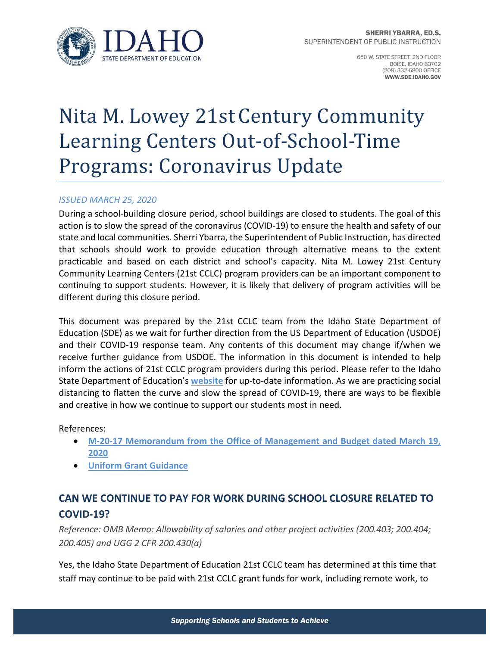

650 W. STATE STREET, 2ND FLOOR **BOISE, IDAHO 83702** (208) 332-6800 OFFICE WWW.SDE.IDAHO.GOV

# Nita M. Lowey 21st Century Community Learning Centers Out-of-School-Time Programs: Coronavirus Update

#### *ISSUED MARCH 25, 2020*

 During a school‐building closure period, school buildings are closed to students. The goal of this action is to slow the spread of the coronavirus (COVID‐19) to ensure the health and safety of our state and local communities. Sherri Ybarra, the Superintendent of Public Instruction, has directed that schools should work to provide education through alternative means to the extent practicable and based on each district and school's capacity. Nita M. Lowey 21st Century Community Learning Centers (21st CCLC) program providers can be an important component to continuing to support students. However, it is likely that delivery of program activities will be different during this closure period.

 This document was prepared by the 21st CCLC team from the Idaho State Department of Education (SDE) as we wait for further direction from the US Department of Education (USDOE) and their COVID‐19 response team. Any contents of this document may change if/when we receive further guidance from USDOE. The information in this document is intended to help inform the actions of 21st CCLC program providers during this period. Please refer to the Idaho State Department of Education's **website** for up‐to‐date information. As we are practicing social distancing to flatten the curve and slow the spread of COVID‐19, there are ways to be flexible and creative in how we continue to support our students most in need.

References:

- **M‐20‐17 Memorandum from the Office of Management and Budget dated March 19, 2020**
- **Uniform Grant Guidance**

## **COVID‐19? CAN WE CONTINUE TO PAY FOR WORK DURING SCHOOL CLOSURE RELATED TO**

 *Reference: OMB Memo: Allowability of salaries and other project activities (200.403; 200.404; 200.405) and UGG 2 CFR 200.430(a)*

 Yes, the Idaho State Department of Education 21st CCLC team has determined at this time that staff may continue to be paid with 21st CCLC grant funds for work, including remote work, to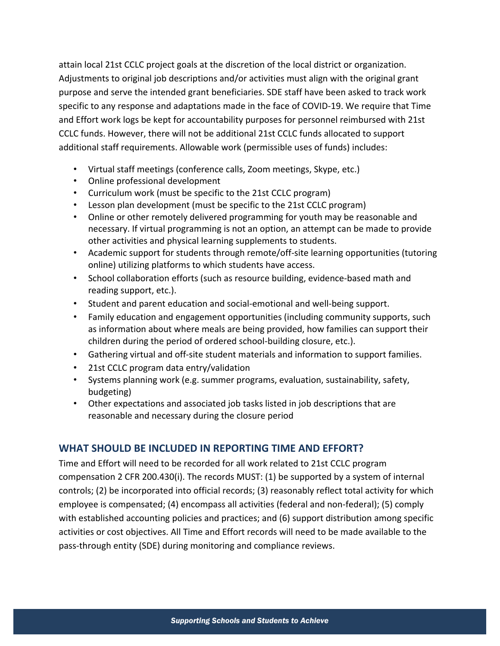attain local 21st CCLC project goals at the discretion of the local district or organization. Adjustments to original job descriptions and/or activities must align with the original grant purpose and serve the intended grant beneficiaries. SDE staff have been asked to track work specific to any response and adaptations made in the face of COVID‐19. We require that Time and Effort work logs be kept for accountability purposes for personnel reimbursed with 21st CCLC funds. However, there will not be additional 21st CCLC funds allocated to support additional staff requirements. Allowable work (permissible uses of funds) includes:

- Virtual staff meetings (conference calls, Zoom meetings, Skype, etc.)
- Online professional development
- Curriculum work (must be specific to the 21st CCLC program)
- Lesson plan development (must be specific to the 21st CCLC program)
- Online or other remotely delivered programming for youth may be reasonable and necessary. If virtual programming is not an option, an attempt can be made to provide other activities and physical learning supplements to students.
- Academic support for students through remote/off-site learning opportunities (tutoring online) utilizing platforms to which students have access.
- School collaboration efforts (such as resource building, evidence‐based math and reading support, etc.).
- Student and parent education and social‐emotional and well‐being support.
- Family education and engagement opportunities (including community supports, such as information about where meals are being provided, how families can support their children during the period of ordered school‐building closure, etc.).
- Gathering virtual and off‐site student materials and information to support families.
- 21st CCLC program data entry/validation
- Systems planning work (e.g. summer programs, evaluation, sustainability, safety, budgeting)
- Other expectations and associated job tasks listed in job descriptions that are reasonable and necessary during the closure period

#### **WHAT SHOULD BE INCLUDED IN REPORTING TIME AND EFFORT?**

 Time and Effort will need to be recorded for all work related to 21st CCLC program compensation 2 CFR 200.430(i). The records MUST: (1) be supported by a system of internal controls; (2) be incorporated into official records; (3) reasonably reflect total activity for which employee is compensated; (4) encompass all activities (federal and non‐federal); (5) comply with established accounting policies and practices; and (6) support distribution among specific activities or cost objectives. All Time and Effort records will need to be made available to the pass‐through entity (SDE) during monitoring and compliance reviews.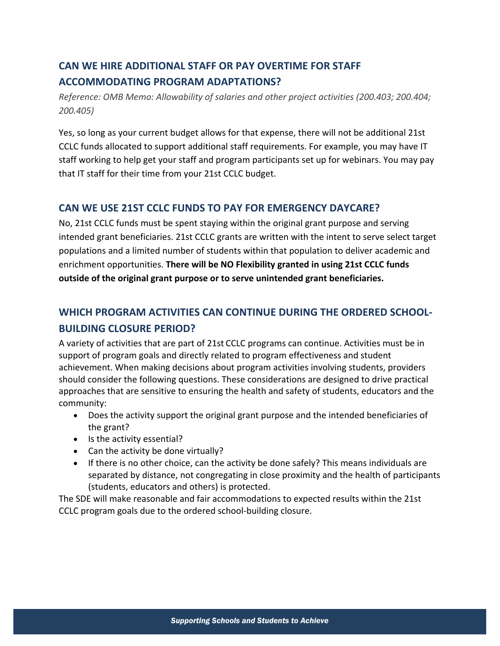## **CAN WE HIRE ADDITIONAL STAFF OR PAY OVERTIME FOR STAFF ACCOMMODATING PROGRAM ADAPTATIONS?**

 *Reference: OMB Memo: Allowability of salaries and other project activities (200.403; 200.404; 200.405)*

 Yes, so long as your current budget allows for that expense, there will not be additional 21st CCLC funds allocated to support additional staff requirements. For example, you may have IT staff working to help get your staff and program participants set up for webinars. You may pay that IT staff for their time from your 21st CCLC budget.

#### **CAN WE USE 21ST CCLC FUNDS TO PAY FOR EMERGENCY DAYCARE?**

 No, 21st CCLC funds must be spent staying within the original grant purpose and serving intended grant beneficiaries. 21st CCLC grants are written with the intent to serve select target populations and a limited number of students within that population to deliver academic and  enrichment opportunities. **There will be NO Flexibility granted in using 21st CCLC funds outside of the original grant purpose or to serve unintended grant beneficiaries.**

## **WHICH PROGRAM ACTIVITIES CAN CONTINUE DURING THE ORDERED SCHOOL‐ BUILDING CLOSURE PERIOD?**

 A variety of activities that are part of 21st CCLC programs can continue. Activities must be in support of program goals and directly related to program effectiveness and student achievement. When making decisions about program activities involving students, providers should consider the following questions. These considerations are designed to drive practical approaches that are sensitive to ensuring the health and safety of students, educators and the community:

- Does the activity support the original grant purpose and the intended beneficiaries of the grant?
- Is the activity essential?
- Can the activity be done virtually?
- If there is no other choice, can the activity be done safely? This means individuals are separated by distance, not congregating in close proximity and the health of participants (students, educators and others) is protected.

 The SDE will make reasonable and fair accommodations to expected results within the 21st CCLC program goals due to the ordered school‐building closure.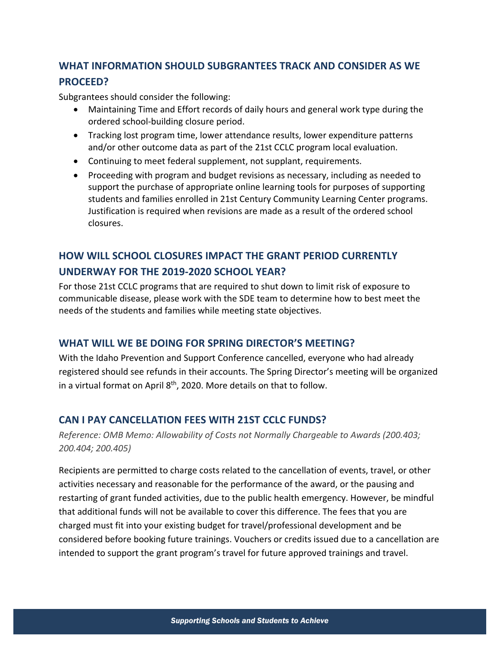## **WHAT INFORMATION SHOULD SUBGRANTEES TRACK AND CONSIDER AS WE PROCEED?**

Subgrantees should consider the following:

- Maintaining Time and Effort records of daily hours and general work type during the ordered school‐building closure period.
- Tracking lost program time, lower attendance results, lower expenditure patterns and/or other outcome data as part of the 21st CCLC program local evaluation.
- Continuing to meet federal supplement, not supplant, requirements.
- Proceeding with program and budget revisions as necessary, including as needed to support the purchase of appropriate online learning tools for purposes of supporting students and families enrolled in 21st Century Community Learning Center programs. Justification is required when revisions are made as a result of the ordered school closures.

## **HOW WILL SCHOOL CLOSURES IMPACT THE GRANT PERIOD CURRENTLY UNDERWAY FOR THE 2019‐2020 SCHOOL YEAR?**

 For those 21st CCLC programs that are required to shut down to limit risk of exposure to communicable disease, please work with the SDE team to determine how to best meet the needs of the students and families while meeting state objectives.

#### **WHAT WILL WE BE DOING FOR SPRING DIRECTOR'S MEETING?**

 With the Idaho Prevention and Support Conference cancelled, everyone who had already registered should see refunds in their accounts. The Spring Director's meeting will be organized in a virtual format on April  $8<sup>th</sup>$ , 2020. More details on that to follow.

#### **CAN I PAY CANCELLATION FEES WITH 21ST CCLC FUNDS?**

 *Reference: OMB Memo: Allowability of Costs not Normally Chargeable to Awards (200.403; 200.404; 200.405)*

 Recipients are permitted to charge costs related to the cancellation of events, travel, or other activities necessary and reasonable for the performance of the award, or the pausing and restarting of grant funded activities, due to the public health emergency. However, be mindful that additional funds will not be available to cover this difference. The fees that you are charged must fit into your existing budget for travel/professional development and be considered before booking future trainings. Vouchers or credits issued due to a cancellation are intended to support the grant program's travel for future approved trainings and travel.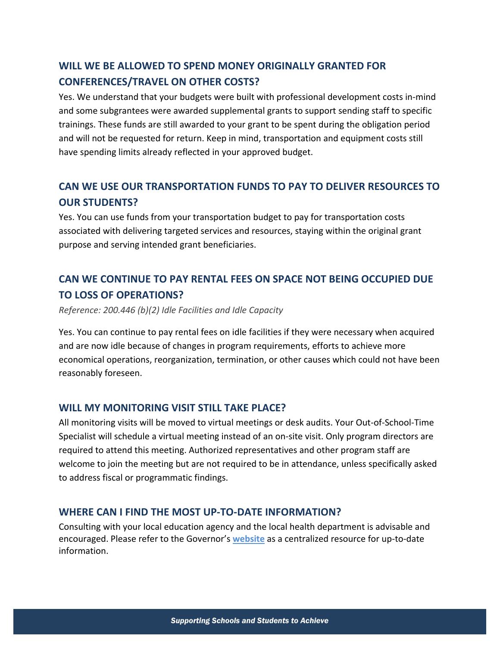## **WILL WE BE ALLOWED TO SPEND MONEY ORIGINALLY GRANTED FOR CONFERENCES/TRAVEL ON OTHER COSTS?**

 Yes. We understand that your budgets were built with professional development costs in‐mind and some subgrantees were awarded supplemental grants to support sending staff to specific trainings. These funds are still awarded to your grant to be spent during the obligation period and will not be requested for return. Keep in mind, transportation and equipment costs still have spending limits already reflected in your approved budget.

## **CAN WE USE OUR TRANSPORTATION FUNDS TO PAY TO DELIVER RESOURCES TO OUR STUDENTS?**

 Yes. You can use funds from your transportation budget to pay for transportation costs associated with delivering targeted services and resources, staying within the original grant purpose and serving intended grant beneficiaries.

## **CAN WE CONTINUE TO PAY RENTAL FEES ON SPACE NOT BEING OCCUPIED DUE TO LOSS OF OPERATIONS?**

 *Reference: 200.446 (b)(2) Idle Facilities and Idle Capacity*

 Yes. You can continue to pay rental fees on idle facilities if they were necessary when acquired and are now idle because of changes in program requirements, efforts to achieve more economical operations, reorganization, termination, or other causes which could not have been reasonably foreseen.

### **WILL MY MONITORING VISIT STILL TAKE PLACE?**

 All monitoring visits will be moved to virtual meetings or desk audits. Your Out‐of‐School‐Time Specialist will schedule a virtual meeting instead of an on‐site visit. Only program directors are required to attend this meeting. Authorized representatives and other program staff are welcome to join the meeting but are not required to be in attendance, unless specifically asked to address fiscal or programmatic findings.

#### **WHERE CAN I FIND THE MOST UP‐TO‐DATE INFORMATION?**

 Consulting with your local education agency and the local health department is advisable and encouraged. Please refer to the Governor's **website** as a centralized resource for up‐to‐date information.